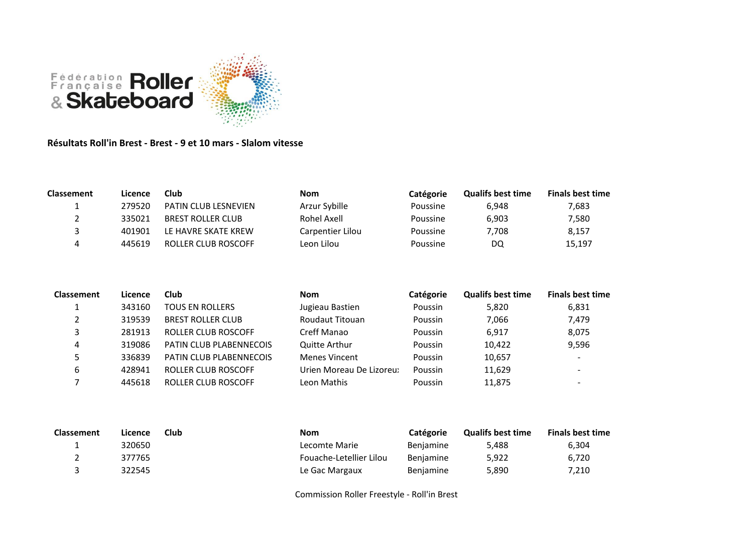

## **Résultats Roll'in Brest - Brest - 9 et 10 mars - Slalom vitesse**

| <b>Classement</b> | Licence | Club                        | <b>Nom</b>       | <b>Catégorie</b> | <b>Qualifs best time</b> | <b>Finals best time</b> |
|-------------------|---------|-----------------------------|------------------|------------------|--------------------------|-------------------------|
|                   | 279520  | <b>PATIN CLUB LESNEVIEN</b> | Arzur Sybille    | Poussine         | 6.948                    | 7,683                   |
|                   | 335021  | <b>BREST ROLLER CLUB</b>    | Rohel Axell      | Poussine         | 6.903                    | 7,580                   |
|                   | 401901  | LE HAVRE SKATE KREW         | Carpentier Lilou | Poussine         | 7.708                    | 8.157                   |
| Δ                 | 445619  | ROLLER CLUB ROSCOFF         | Leon Lilou       | Poussine         | DQ                       | 15,197                  |

| <b>Classement</b> | Licence | Club                           | <b>Nom</b>              | Catégorie | <b>Qualifs best time</b> | <b>Finals best time</b>  |
|-------------------|---------|--------------------------------|-------------------------|-----------|--------------------------|--------------------------|
|                   | 343160  | <b>TOUS EN ROLLERS</b>         | Jugieau Bastien         | Poussin   | 5.820                    | 6,831                    |
| っ                 | 319539  | <b>BREST ROLLER CLUB</b>       | Roudaut Titouan         | Poussin   | 7,066                    | 7,479                    |
|                   | 281913  | ROLLER CLUB ROSCOFF            | Creff Manao             | Poussin   | 6,917                    | 8,075                    |
| 4                 | 319086  | <b>PATIN CLUB PLABENNECOIS</b> | <b>Quitte Arthur</b>    | Poussin   | 10.422                   | 9,596                    |
|                   | 336839  | <b>PATIN CLUB PLABENNECOIS</b> | <b>Menes Vincent</b>    | Poussin   | 10,657                   | $\overline{\phantom{0}}$ |
| 6                 | 428941  | ROLLER CLUB ROSCOFF            | Urien Moreau De Lizoreu | Poussin   | 11,629                   | $\overline{\phantom{a}}$ |
|                   | 445618  | ROLLER CLUB ROSCOFF            | Leon Mathis             | Poussin   | 11,875                   | $\overline{\phantom{a}}$ |

| <b>Classement</b> | Licence | Club | <b>Nom</b>              | <b>Catégorie</b> | <b>Qualifs best time</b> | <b>Finals best time</b> |
|-------------------|---------|------|-------------------------|------------------|--------------------------|-------------------------|
|                   | 320650  |      | Lecomte Marie           | <b>Benjamine</b> | 5.488                    | 6,304                   |
|                   | 377765  |      | Fouache-Letellier Lilou | Benjamine        | 5,922                    | 6.720                   |
|                   | 322545  |      | Le Gac Margaux          | <b>Benjamine</b> | 5.890                    | 7.210                   |

Commission Roller Freestyle - Roll'in Brest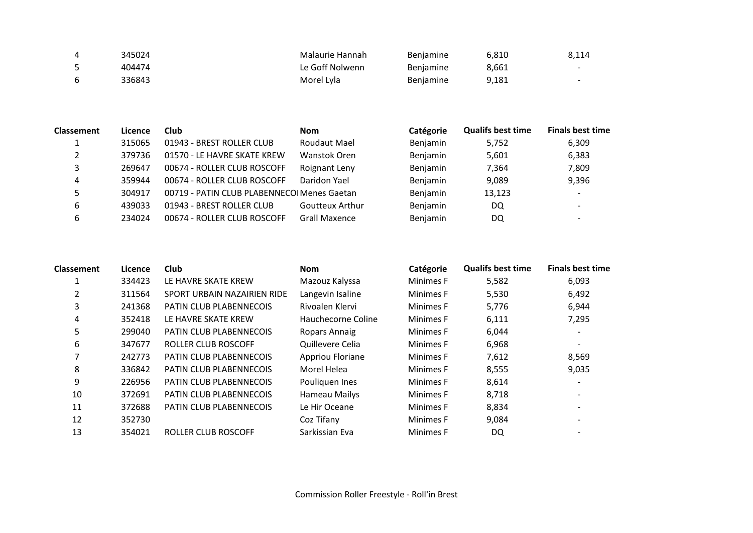| 4   | 345024 | Malaurie Hannah | Benjamine        | 6,810 | 8,114                    |
|-----|--------|-----------------|------------------|-------|--------------------------|
|     | 404474 | Le Goff Nolwenn | <b>Benjamine</b> | 8,661 | $\overline{\phantom{0}}$ |
| - 6 | 336843 | Morel Lyla      | <b>Benjamine</b> | 9,181 | $\overline{\phantom{0}}$ |

| <b>Classement</b> | Licence | Club                                        | <b>Nom</b>             | Catégorie | <b>Qualifs best time</b> | <b>Finals best time</b>  |
|-------------------|---------|---------------------------------------------|------------------------|-----------|--------------------------|--------------------------|
|                   | 315065  | 01943 - BREST ROLLER CLUB                   | Roudaut Mael           | Benjamin  | 5,752                    | 6,309                    |
|                   | 379736  | 01570 - LE HAVRE SKATE KREW                 | Wanstok Oren           | Benjamin  | 5,601                    | 6,383                    |
| 3                 | 269647  | 00674 - ROLLER CLUB ROSCOFF                 | Roignant Leny          | Benjamin  | 7,364                    | 7,809                    |
| 4                 | 359944  | 00674 - ROLLER CLUB ROSCOFF                 | Daridon Yael           | Benjamin  | 9,089                    | 9,396                    |
|                   | 304917  | 00719 - PATIN CLUB PLABENNECOI Menes Gaetan |                        | Benjamin  | 13,123                   |                          |
| 6                 | 439033  | 01943 - BREST ROLLER CLUB                   | <b>Goutteux Arthur</b> | Benjamin  | DQ                       | $\overline{\phantom{0}}$ |
| 6                 | 234024  | 00674 - ROLLER CLUB ROSCOFF                 | <b>Grall Maxence</b>   | Benjamin  | DQ                       |                          |

| <b>Classement</b> | Licence | Club                           | <b>Nom</b>         | Catégorie | <b>Qualifs best time</b> | <b>Finals best time</b>  |
|-------------------|---------|--------------------------------|--------------------|-----------|--------------------------|--------------------------|
| 1                 | 334423  | LE HAVRE SKATE KREW            | Mazouz Kalyssa     | Minimes F | 5,582                    | 6,093                    |
|                   | 311564  | SPORT URBAIN NAZAIRIEN RIDE    | Langevin Isaline   | Minimes F | 5,530                    | 6,492                    |
| 3                 | 241368  | PATIN CLUB PLABENNECOIS        | Rivoalen Klervi    | Minimes F | 5,776                    | 6,944                    |
| 4                 | 352418  | LE HAVRE SKATE KREW            | Hauchecorne Coline | Minimes F | 6,111                    | 7,295                    |
| 5                 | 299040  | PATIN CLUB PLABENNECOIS        | Ropars Annaig      | Minimes F | 6,044                    | $\overline{\phantom{a}}$ |
| 6                 | 347677  | ROLLER CLUB ROSCOFF            | Quillevere Celia   | Minimes F | 6,968                    | $\overline{\phantom{a}}$ |
|                   | 242773  | <b>PATIN CLUB PLABENNECOIS</b> | Appriou Floriane   | Minimes F | 7,612                    | 8,569                    |
| 8                 | 336842  | PATIN CLUB PLABENNECOIS        | Morel Helea        | Minimes F | 8,555                    | 9,035                    |
| 9                 | 226956  | <b>PATIN CLUB PLABENNECOIS</b> | Pouliquen Ines     | Minimes F | 8,614                    | $\overline{\phantom{a}}$ |
| 10                | 372691  | <b>PATIN CLUB PLABENNECOIS</b> | Hameau Mailys      | Minimes F | 8,718                    |                          |
| 11                | 372688  | <b>PATIN CLUB PLABENNECOIS</b> | Le Hir Oceane      | Minimes F | 8,834                    |                          |
| 12                | 352730  |                                | Coz Tifany         | Minimes F | 9,084                    |                          |
| 13                | 354021  | ROLLER CLUB ROSCOFF            | Sarkissian Eva     | Minimes F | DQ                       |                          |
|                   |         |                                |                    |           |                          |                          |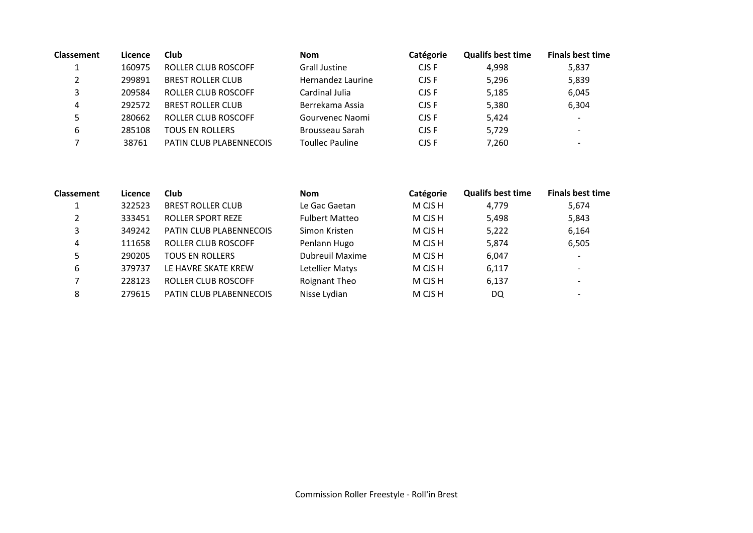| <b>Classement</b> | Licence | Club                     | <b>Nom</b>             | Catégorie | <b>Qualifs best time</b> | <b>Finals best time</b>  |
|-------------------|---------|--------------------------|------------------------|-----------|--------------------------|--------------------------|
|                   | 160975  | ROLLER CLUB ROSCOFF      | <b>Grall Justine</b>   | CJS F     | 4.998                    | 5,837                    |
|                   | 299891  | <b>BREST ROLLER CLUB</b> | Hernandez Laurine      | CJS F     | 5,296                    | 5,839                    |
|                   | 209584  | ROLLER CLUB ROSCOFF      | Cardinal Julia         | CJS F     | 5,185                    | 6,045                    |
| 4                 | 292572  | <b>BREST ROLLER CLUB</b> | Berrekama Assia        | CJS F     | 5,380                    | 6,304                    |
|                   | 280662  | ROLLER CLUB ROSCOFF      | Gourvenec Naomi        | CJS F     | 5,424                    | $\overline{\phantom{0}}$ |
| 6                 | 285108  | <b>TOUS EN ROLLERS</b>   | Brousseau Sarah        | CJS F     | 5,729                    | $\overline{\phantom{a}}$ |
|                   | 38761   | PATIN CLUB PLABENNECOIS  | <b>Toullec Pauline</b> | CJS F     | 7,260                    |                          |

| <b>Classement</b> | Licence | <b>Club</b>                    | <b>Nom</b>             | Catégorie | <b>Qualifs best time</b> | <b>Finals best time</b>  |
|-------------------|---------|--------------------------------|------------------------|-----------|--------------------------|--------------------------|
|                   | 322523  | <b>BREST ROLLER CLUB</b>       | Le Gac Gaetan          | M CJS H   | 4.779                    | 5,674                    |
| າ                 | 333451  | <b>ROLLER SPORT REZE</b>       | <b>Fulbert Matteo</b>  | M CJS H   | 5,498                    | 5,843                    |
| 3                 | 349242  | PATIN CLUB PLABENNECOIS        | Simon Kristen          | M CJS H   | 5,222                    | 6,164                    |
| 4                 | 111658  | ROLLER CLUB ROSCOFF            | Penlann Hugo           | M CJS H   | 5,874                    | 6,505                    |
| 5                 | 290205  | <b>TOUS EN ROLLERS</b>         | <b>Dubreuil Maxime</b> | M CJS H   | 6,047                    | $\overline{\phantom{a}}$ |
| 6                 | 379737  | LE HAVRE SKATE KREW            | Letellier Matys        | M CJS H   | 6,117                    | $\overline{\phantom{a}}$ |
|                   | 228123  | <b>ROLLER CLUB ROSCOFF</b>     | Roignant Theo          | M CJS H   | 6,137                    | $\overline{\phantom{a}}$ |
| 8                 | 279615  | <b>PATIN CLUB PLABENNECOIS</b> | Nisse Lydian           | M CJS H   | DQ                       | $\overline{\phantom{0}}$ |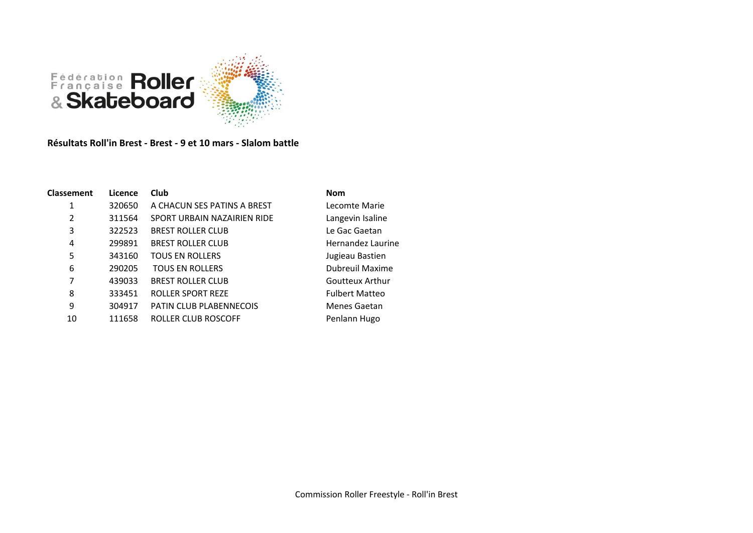

**Résultats Roll'in Brest - Brest - 9 et 10 mars - Slalom battle**

| Classement | Licence | <b>Club</b>                 | <b>Nom</b>             |
|------------|---------|-----------------------------|------------------------|
| 1          | 320650  | A CHACUN SES PATINS A BREST | Lecomte Marie          |
| 2          | 311564  | SPORT URBAIN NAZAIRIEN RIDE | Langevin Isaline       |
| 3          | 322523  | <b>BREST ROLLER CLUB</b>    | Le Gac Gaetan          |
| 4          | 299891  | <b>BREST ROLLER CLUB</b>    | Hernandez Laurine      |
| 5          | 343160  | <b>TOUS EN ROLLERS</b>      | Jugieau Bastien        |
| 6          | 290205  | <b>TOUS EN ROLLERS</b>      | <b>Dubreuil Maxime</b> |
| 7          | 439033  | <b>BREST ROLLER CLUB</b>    | Goutteux Arthur        |
| 8          | 333451  | <b>ROLLER SPORT REZE</b>    | <b>Fulbert Matteo</b>  |
| 9          | 304917  | PATIN CLUB PLABENNECOIS     | Menes Gaetan           |
| 10         | 111658  | ROLLER CLUB ROSCOFF         | Penlann Hugo           |

Commission Roller Freestyle - Roll'in Brest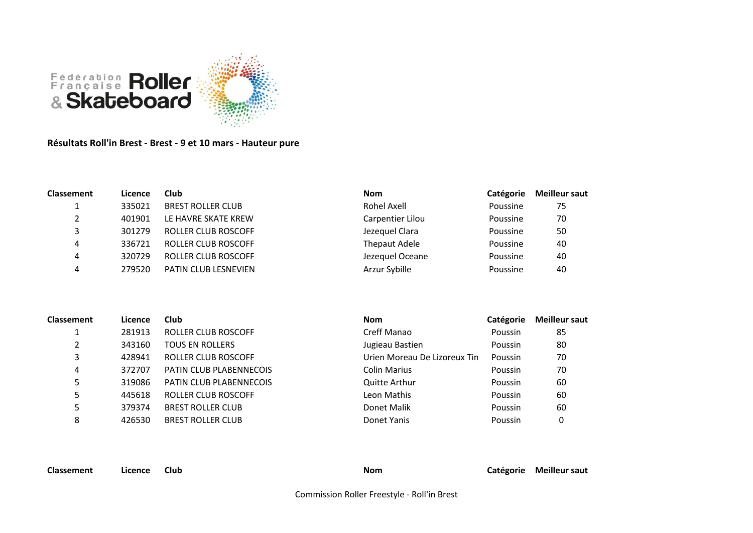

**Résultats Roll'in Brest - Brest - 9 et 10 mars - Hauteur pure**

| <b>Classement</b> | Licence | Club                        | <b>Nom</b>       | Catégorie | <b>Meilleur saut</b> |
|-------------------|---------|-----------------------------|------------------|-----------|----------------------|
|                   | 335021  | <b>BREST ROLLER CLUB</b>    | Rohel Axell      | Poussine  | 75                   |
|                   | 401901  | LE HAVRE SKATE KREW         | Carpentier Lilou | Poussine  | 70                   |
|                   | 301279  | ROLLER CLUB ROSCOFF         | Jezequel Clara   | Poussine  | 50                   |
| 4                 | 336721  | <b>ROLLER CLUB ROSCOFF</b>  | Thepaut Adele    | Poussine  | 40                   |
| 4                 | 320729  | ROLLER CLUB ROSCOFF         | Jezequel Oceane  | Poussine  | 40                   |
| 4                 | 279520  | <b>PATIN CLUB LESNEVIEN</b> | Arzur Sybille    | Poussine  | 40                   |

| <b>Classement</b> | Licence | Club                       | <b>Nom</b>                   | Catégorie | <b>Meilleur saut</b> |
|-------------------|---------|----------------------------|------------------------------|-----------|----------------------|
|                   | 281913  | <b>ROLLER CLUB ROSCOFF</b> | Creff Manao                  | Poussin   | 85                   |
| 2                 | 343160  | <b>TOUS EN ROLLERS</b>     | Jugieau Bastien              | Poussin   | 80                   |
| 3                 | 428941  | <b>ROLLER CLUB ROSCOFF</b> | Urien Moreau De Lizoreux Tin | Poussin   | 70                   |
| 4                 | 372707  | PATIN CLUB PLABENNECOIS    | <b>Colin Marius</b>          | Poussin   | 70                   |
| 5                 | 319086  | PATIN CLUB PLABENNECOIS    | <b>Quitte Arthur</b>         | Poussin   | 60                   |
| 5                 | 445618  | <b>ROLLER CLUB ROSCOFF</b> | Leon Mathis                  | Poussin   | 60                   |
|                   | 379374  | <b>BREST ROLLER CLUB</b>   | Donet Malik                  | Poussin   | 60                   |
| 8                 | 426530  | <b>BREST ROLLER CLUB</b>   | Donet Yanis                  | Poussin   | 0                    |
|                   |         |                            |                              |           |                      |

**Classement Licence Club Nom Catégorie Meilleur saut**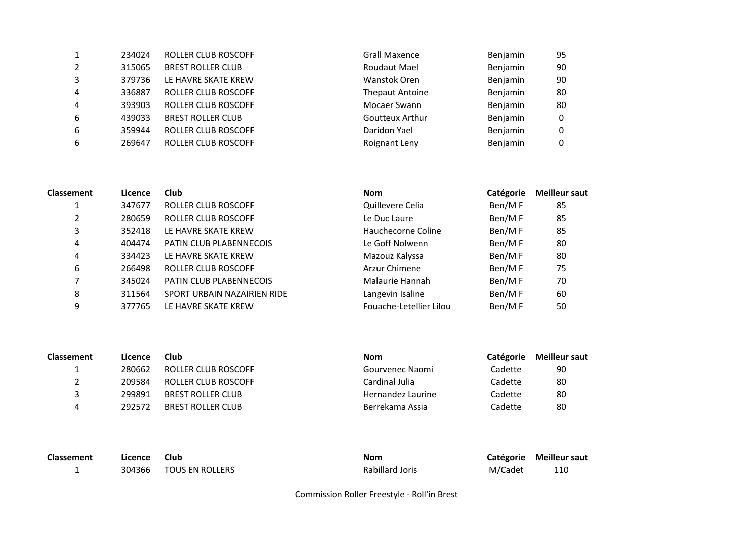|                | 234024 | ROLLER CLUB ROSCOFF        | <b>Grall Maxence</b>   | Benjamin | 95 |
|----------------|--------|----------------------------|------------------------|----------|----|
| 2              | 315065 | <b>BREST ROLLER CLUB</b>   | <b>Roudaut Mael</b>    | Benjamin | 90 |
| 3              | 379736 | LE HAVRE SKATE KREW        | Wanstok Oren           | Benjamin | 90 |
| $\overline{4}$ | 336887 | ROLLER CLUB ROSCOFF        | <b>Thepaut Antoine</b> | Benjamin | 80 |
| $\overline{4}$ | 393903 | ROLLER CLUB ROSCOFF        | Mocaer Swann           | Benjamin | 80 |
| 6              | 439033 | <b>BREST ROLLER CLUB</b>   | <b>Goutteux Arthur</b> | Benjamin | 0  |
| 6              | 359944 | <b>ROLLER CLUB ROSCOFF</b> | Daridon Yael           | Benjamin | 0  |
| 6              | 269647 | <b>ROLLER CLUB ROSCOFF</b> | Roignant Leny          | Benjamin | 0  |

| <b>Classement</b> | Licence | Club                        | <b>Nom</b>              | Catégorie | <b>Meilleur saut</b> |
|-------------------|---------|-----------------------------|-------------------------|-----------|----------------------|
|                   | 347677  | ROLLER CLUB ROSCOFF         | Quillevere Celia        | Ben/MF    | 85                   |
| 2                 | 280659  | ROLLER CLUB ROSCOFF         | Le Duc Laure            | Ben/MF    | 85                   |
| 3                 | 352418  | LE HAVRE SKATE KREW         | Hauchecorne Coline      | Ben/MF    | 85                   |
| 4                 | 404474  | PATIN CLUB PLABENNECOIS     | Le Goff Nolwenn         | Ben/MF    | 80                   |
| 4                 | 334423  | LE HAVRE SKATE KREW         | Mazouz Kalyssa          | Ben/MF    | 80                   |
| 6                 | 266498  | ROLLER CLUB ROSCOFF         | Arzur Chimene           | Ben/MF    | 75                   |
|                   | 345024  | PATIN CLUB PLABENNECOIS     | Malaurie Hannah         | Ben/MF    | 70                   |
| 8                 | 311564  | SPORT URBAIN NAZAIRIEN RIDE | Langevin Isaline        | Ben/MF    | 60                   |
| 9                 | 377765  | LE HAVRE SKATE KREW         | Fouache-Letellier Lilou | Ben/MF    | 50                   |

| <b>Classement</b> | Licence | Club                     | <b>Nom</b>        | <b>Catégorie</b> | <b>Meilleur saut</b> |
|-------------------|---------|--------------------------|-------------------|------------------|----------------------|
|                   | 280662  | ROLLER CLUB ROSCOFF      | Gourvenec Naomi   | Cadette          | 90                   |
|                   | 209584  | ROLLER CLUB ROSCOFF      | Cardinal Julia    | Cadette          | 80                   |
|                   | 299891  | <b>BREST ROLLER CLUB</b> | Hernandez Laurine | Cadette          | 80                   |
|                   | 292572  | <b>BREST ROLLER CLUB</b> | Berrekama Assia   | Cadette          | 80                   |

| Classement | Licence | <b>Club</b>            | <b>Nom</b>      |         | Catégorie Meilleur saut |
|------------|---------|------------------------|-----------------|---------|-------------------------|
|            |         | 304366 TOUS EN ROLLERS | Rabillard Joris | M/Cadet | 110                     |

Commission Roller Freestyle - Roll'in Brest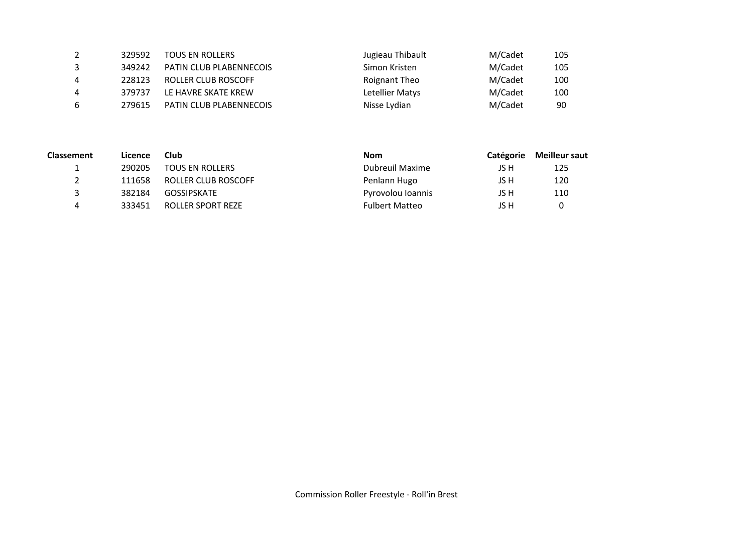| 2  | 329592 | <b>TOUS EN ROLLERS</b>         | Jugieau Thibault | M/Cadet | 105 |
|----|--------|--------------------------------|------------------|---------|-----|
| 3  | 349242 | <b>PATIN CLUB PLABENNECOIS</b> | Simon Kristen    | M/Cadet | 105 |
| 4  | 228123 | ROLLER CLUB ROSCOFF            | Roignant Theo    | M/Cadet | 100 |
| 4  | 379737 | LE HAVRE SKATE KREW            | Letellier Matys  | M/Cadet | 100 |
| -6 | 279615 | <b>PATIN CLUB PLABENNECOIS</b> | Nisse Lydian     | M/Cadet | 90  |

| <b>Classement</b> | Licence | Club                   | <b>Nom</b>            | Catégorie | <b>Meilleur saut</b> |
|-------------------|---------|------------------------|-----------------------|-----------|----------------------|
| л.                | 290205  | <b>TOUS EN ROLLERS</b> | Dubreuil Maxime       | JS H      | 125                  |
|                   | 111658  | ROLLER CLUB ROSCOFF    | Penlann Hugo          | JS H      | 120                  |
|                   | 382184  | <b>GOSSIPSKATE</b>     | Pyrovolou Ioannis     | JS H      | 110                  |
| 4                 | 333451  | ROLLER SPORT REZE      | <b>Fulbert Matteo</b> | JS H      |                      |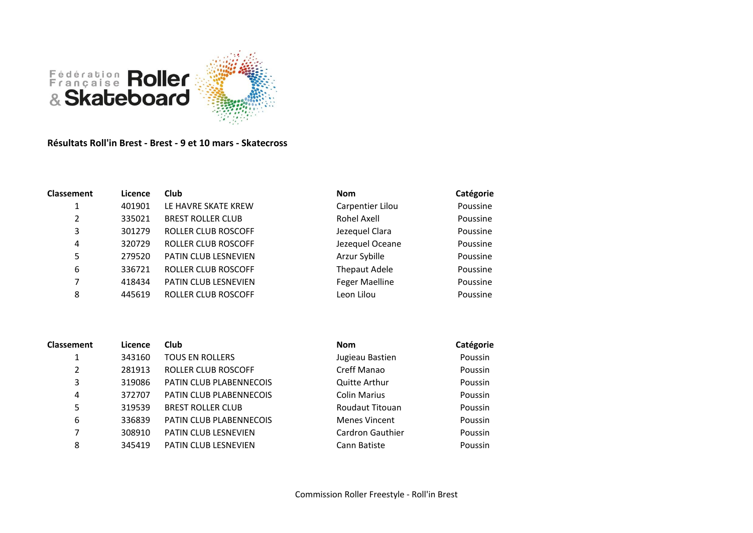

## **Résultats Roll'in Brest - Brest - 9 et 10 mars - Skatecross**

| <b>Classement</b> | Licence | Club                       | <b>Nom</b>            | Catégorie |
|-------------------|---------|----------------------------|-----------------------|-----------|
| 1                 | 401901  | LE HAVRE SKATE KREW        | Carpentier Lilou      | Poussine  |
| 2                 | 335021  | <b>BREST ROLLER CLUB</b>   | Rohel Axell           | Poussine  |
| 3                 | 301279  | ROLLER CLUB ROSCOFF        | Jezequel Clara        | Poussine  |
| 4                 | 320729  | ROLLER CLUB ROSCOFF        | Jezequel Oceane       | Poussine  |
| 5                 | 279520  | PATIN CLUB LESNEVIEN       | Arzur Sybille         | Poussine  |
| 6                 | 336721  | <b>ROLLER CLUB ROSCOFF</b> | <b>Thepaut Adele</b>  | Poussine  |
| 7                 | 418434  | PATIN CLUB LESNEVIEN       | <b>Feger Maelline</b> | Poussine  |
| 8                 | 445619  | <b>ROLLER CLUB ROSCOFF</b> | Leon Lilou            | Poussine  |

| <b>Classement</b> | Licence | <b>Club</b>              | <b>Nom</b>           | Catégorie |
|-------------------|---------|--------------------------|----------------------|-----------|
| 1                 | 343160  | <b>TOUS EN ROLLERS</b>   | Jugieau Bastien      | Poussin   |
| 2                 | 281913  | ROLLER CLUB ROSCOFF      | Creff Manao          | Poussin   |
| 3                 | 319086  | PATIN CLUB PLABENNECOIS  | <b>Quitte Arthur</b> | Poussin   |
| 4                 | 372707  | PATIN CLUB PLABENNECOIS  | <b>Colin Marius</b>  | Poussin   |
| 5                 | 319539  | <b>BREST ROLLER CLUB</b> | Roudaut Titouan      | Poussin   |
| 6                 | 336839  | PATIN CLUB PLABENNECOIS  | <b>Menes Vincent</b> | Poussin   |
| 7                 | 308910  | PATIN CLUB LESNEVIEN     | Cardron Gauthier     | Poussin   |
| 8                 | 345419  | PATIN CLUB LESNEVIEN     | Cann Batiste         | Poussin   |

| Nom                  | Catégorie |
|----------------------|-----------|
| Jugieau Bastien      | Poussin   |
| Creff Manao          | Poussin   |
| <b>Quitte Arthur</b> | Poussin   |
| Colin Marius         | Poussin   |
| Roudaut Titouan      | Poussin   |
| <b>Menes Vincent</b> | Poussin   |
| Cardron Gauthier     | Poussin   |
| Cann Batiste         | Poussin   |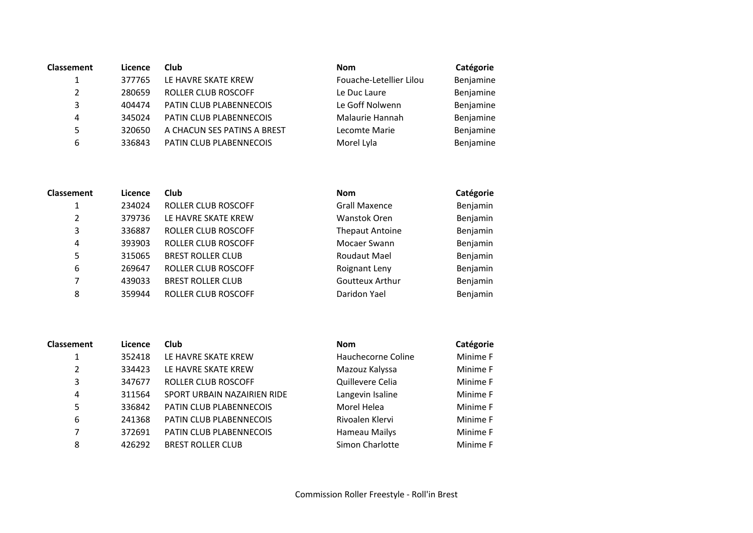| <b>Classement</b>     | Licence | <b>Club</b>                 | <b>Nom</b>              | Catégorie |
|-----------------------|---------|-----------------------------|-------------------------|-----------|
| $\mathbf{1}$          | 377765  | LE HAVRE SKATE KREW         | Fouache-Letellier Lilou | Benjamine |
| $\mathbf{2}^{\prime}$ | 280659  | <b>ROLLER CLUB ROSCOFF</b>  | Le Duc Laure            | Benjamine |
| 3                     | 404474  | PATIN CLUB PLABENNECOIS     | Le Goff Nolwenn         | Benjamine |
| 4                     | 345024  | PATIN CLUB PLABENNECOIS     | Malaurie Hannah         | Benjamine |
| 5.                    | 320650  | A CHACUN SES PATINS A BREST | Lecomte Marie           | Benjamine |
| 6                     | 336843  | PATIN CLUB PLABENNECOIS     | Morel Lyla              | Benjamine |

| <b>Classement</b> | Licence | <b>Club</b>                | <b>Nom</b>             | Catégorie |
|-------------------|---------|----------------------------|------------------------|-----------|
| 1                 | 234024  | <b>ROLLER CLUB ROSCOFF</b> | <b>Grall Maxence</b>   | Benjamin  |
| $\overline{2}$    | 379736  | LE HAVRE SKATE KREW        | Wanstok Oren           | Benjamin  |
| 3                 | 336887  | ROLLER CLUB ROSCOFF        | <b>Thepaut Antoine</b> | Benjamin  |
| 4                 | 393903  | <b>ROLLER CLUB ROSCOFF</b> | Mocaer Swann           | Benjamin  |
| 5                 | 315065  | <b>BREST ROLLER CLUB</b>   | <b>Roudaut Mael</b>    | Benjamin  |
| 6                 | 269647  | ROLLER CLUB ROSCOFF        | Roignant Leny          | Benjamin  |
| 7                 | 439033  | <b>BREST ROLLER CLUB</b>   | Goutteux Arthur        | Benjamin  |
| 8                 | 359944  | <b>ROLLER CLUB ROSCOFF</b> | Daridon Yael           | Benjamin  |

| <b>Classement</b> | Licence | <b>Club</b>                 | <b>Nom</b>         | Catégorie |
|-------------------|---------|-----------------------------|--------------------|-----------|
| 1                 | 352418  | LE HAVRE SKATE KREW         | Hauchecorne Coline | Minime F  |
| 2                 | 334423  | LE HAVRE SKATE KREW         | Mazouz Kalyssa     | Minime F  |
| 3                 | 347677  | ROLLER CLUB ROSCOFF         | Quillevere Celia   | Minime F  |
| 4                 | 311564  | SPORT URBAIN NAZAIRIEN RIDE | Langevin Isaline   | Minime F  |
| 5                 | 336842  | PATIN CLUB PLABENNECOIS     | Morel Helea        | Minime F  |
| 6                 | 241368  | PATIN CLUB PLABENNECOIS     | Rivoalen Klervi    | Minime F  |
| 7                 | 372691  | PATIN CLUB PLABENNECOIS     | Hameau Mailys      | Minime F  |
| 8                 | 426292  | <b>BREST ROLLER CLUB</b>    | Simon Charlotte    | Minime F  |

| Nom                | Catégorie |
|--------------------|-----------|
| Hauchecorne Coline | Minime F  |
| Mazouz Kalyssa     | Minime F  |
| Quillevere Celia   | Minime F  |
| Langevin Isaline   | Minime F  |
| Morel Helea        | Minime F  |
| Rivoalen Klervi    | Minime F  |
| Hameau Mailys      | Minime F  |
| Simon Charlotte    | Minime F  |